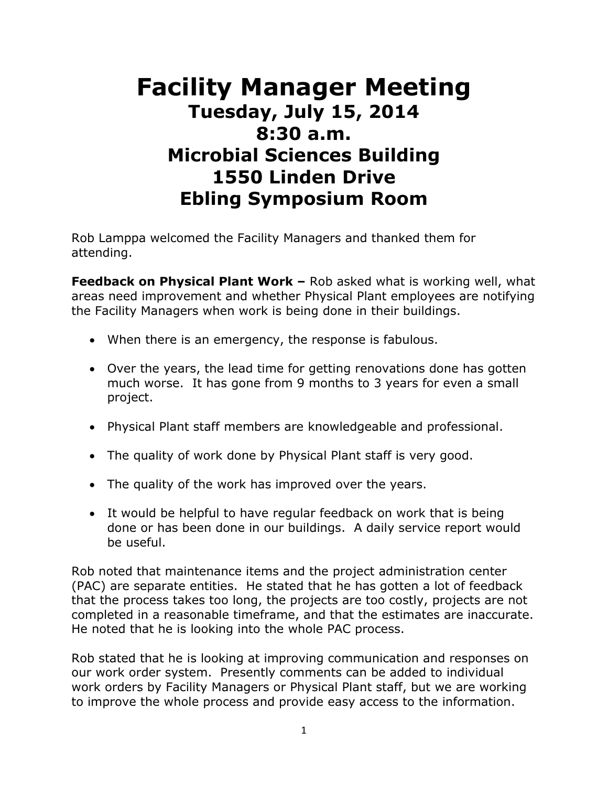## **Facility Manager Meeting Tuesday, July 15, 2014 8:30 a.m. Microbial Sciences Building 1550 Linden Drive Ebling Symposium Room**

Rob Lamppa welcomed the Facility Managers and thanked them for attending.

**Feedback on Physical Plant Work –** Rob asked what is working well, what areas need improvement and whether Physical Plant employees are notifying the Facility Managers when work is being done in their buildings.

- When there is an emergency, the response is fabulous.
- Over the years, the lead time for getting renovations done has gotten much worse. It has gone from 9 months to 3 years for even a small project.
- Physical Plant staff members are knowledgeable and professional.
- The quality of work done by Physical Plant staff is very good.
- The quality of the work has improved over the years.
- It would be helpful to have regular feedback on work that is being done or has been done in our buildings. A daily service report would be useful.

Rob noted that maintenance items and the project administration center (PAC) are separate entities. He stated that he has gotten a lot of feedback that the process takes too long, the projects are too costly, projects are not completed in a reasonable timeframe, and that the estimates are inaccurate. He noted that he is looking into the whole PAC process.

Rob stated that he is looking at improving communication and responses on our work order system. Presently comments can be added to individual work orders by Facility Managers or Physical Plant staff, but we are working to improve the whole process and provide easy access to the information.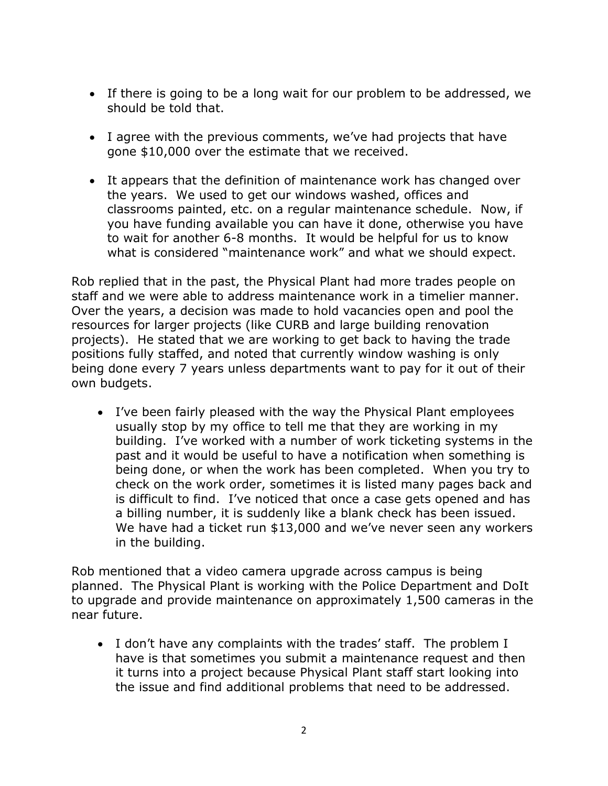- If there is going to be a long wait for our problem to be addressed, we should be told that.
- I agree with the previous comments, we've had projects that have gone \$10,000 over the estimate that we received.
- It appears that the definition of maintenance work has changed over the years. We used to get our windows washed, offices and classrooms painted, etc. on a regular maintenance schedule. Now, if you have funding available you can have it done, otherwise you have to wait for another 6-8 months. It would be helpful for us to know what is considered "maintenance work" and what we should expect.

Rob replied that in the past, the Physical Plant had more trades people on staff and we were able to address maintenance work in a timelier manner. Over the years, a decision was made to hold vacancies open and pool the resources for larger projects (like CURB and large building renovation projects). He stated that we are working to get back to having the trade positions fully staffed, and noted that currently window washing is only being done every 7 years unless departments want to pay for it out of their own budgets.

 I've been fairly pleased with the way the Physical Plant employees usually stop by my office to tell me that they are working in my building. I've worked with a number of work ticketing systems in the past and it would be useful to have a notification when something is being done, or when the work has been completed. When you try to check on the work order, sometimes it is listed many pages back and is difficult to find. I've noticed that once a case gets opened and has a billing number, it is suddenly like a blank check has been issued. We have had a ticket run \$13,000 and we've never seen any workers in the building.

Rob mentioned that a video camera upgrade across campus is being planned. The Physical Plant is working with the Police Department and DoIt to upgrade and provide maintenance on approximately 1,500 cameras in the near future.

 I don't have any complaints with the trades' staff. The problem I have is that sometimes you submit a maintenance request and then it turns into a project because Physical Plant staff start looking into the issue and find additional problems that need to be addressed.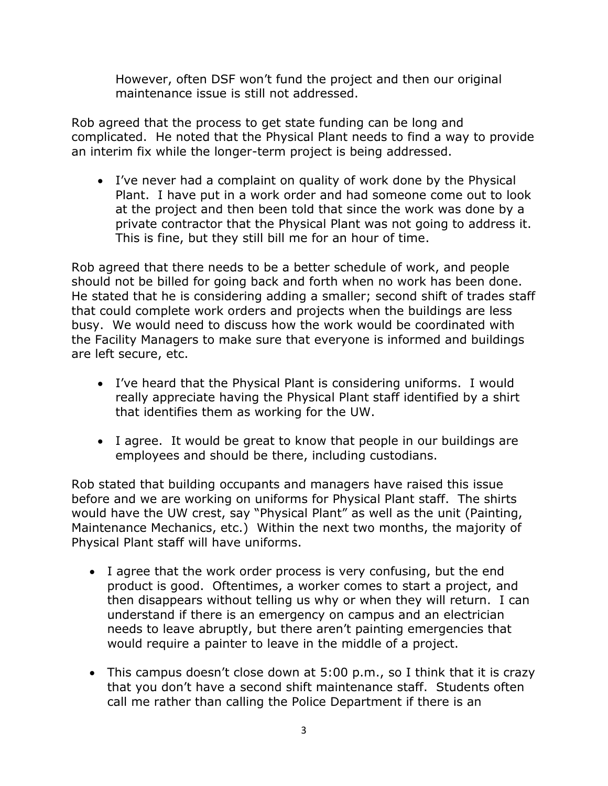However, often DSF won't fund the project and then our original maintenance issue is still not addressed.

Rob agreed that the process to get state funding can be long and complicated. He noted that the Physical Plant needs to find a way to provide an interim fix while the longer-term project is being addressed.

 I've never had a complaint on quality of work done by the Physical Plant. I have put in a work order and had someone come out to look at the project and then been told that since the work was done by a private contractor that the Physical Plant was not going to address it. This is fine, but they still bill me for an hour of time.

Rob agreed that there needs to be a better schedule of work, and people should not be billed for going back and forth when no work has been done. He stated that he is considering adding a smaller; second shift of trades staff that could complete work orders and projects when the buildings are less busy. We would need to discuss how the work would be coordinated with the Facility Managers to make sure that everyone is informed and buildings are left secure, etc.

- I've heard that the Physical Plant is considering uniforms. I would really appreciate having the Physical Plant staff identified by a shirt that identifies them as working for the UW.
- I agree. It would be great to know that people in our buildings are employees and should be there, including custodians.

Rob stated that building occupants and managers have raised this issue before and we are working on uniforms for Physical Plant staff. The shirts would have the UW crest, say "Physical Plant" as well as the unit (Painting, Maintenance Mechanics, etc.) Within the next two months, the majority of Physical Plant staff will have uniforms.

- I agree that the work order process is very confusing, but the end product is good. Oftentimes, a worker comes to start a project, and then disappears without telling us why or when they will return. I can understand if there is an emergency on campus and an electrician needs to leave abruptly, but there aren't painting emergencies that would require a painter to leave in the middle of a project.
- This campus doesn't close down at 5:00 p.m., so I think that it is crazy that you don't have a second shift maintenance staff. Students often call me rather than calling the Police Department if there is an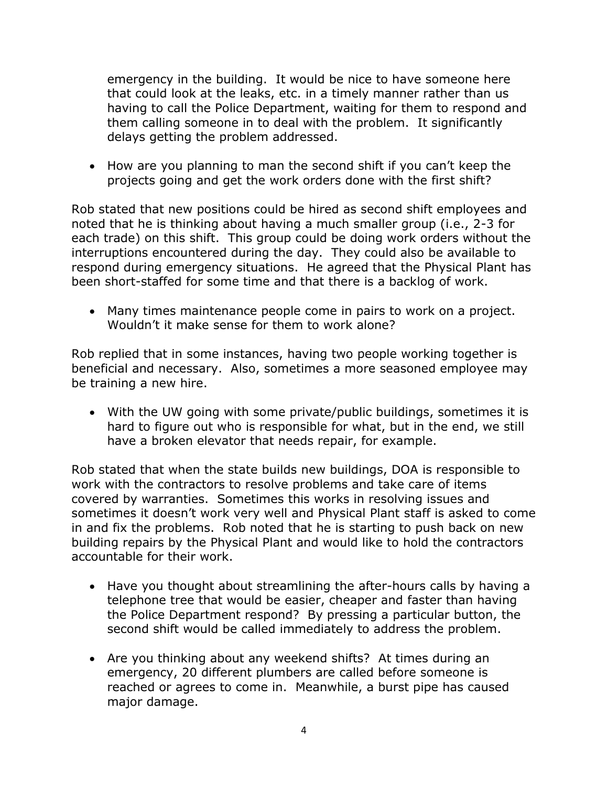emergency in the building. It would be nice to have someone here that could look at the leaks, etc. in a timely manner rather than us having to call the Police Department, waiting for them to respond and them calling someone in to deal with the problem. It significantly delays getting the problem addressed.

• How are you planning to man the second shift if you can't keep the projects going and get the work orders done with the first shift?

Rob stated that new positions could be hired as second shift employees and noted that he is thinking about having a much smaller group (i.e., 2-3 for each trade) on this shift. This group could be doing work orders without the interruptions encountered during the day. They could also be available to respond during emergency situations. He agreed that the Physical Plant has been short-staffed for some time and that there is a backlog of work.

 Many times maintenance people come in pairs to work on a project. Wouldn't it make sense for them to work alone?

Rob replied that in some instances, having two people working together is beneficial and necessary. Also, sometimes a more seasoned employee may be training a new hire.

 With the UW going with some private/public buildings, sometimes it is hard to figure out who is responsible for what, but in the end, we still have a broken elevator that needs repair, for example.

Rob stated that when the state builds new buildings, DOA is responsible to work with the contractors to resolve problems and take care of items covered by warranties. Sometimes this works in resolving issues and sometimes it doesn't work very well and Physical Plant staff is asked to come in and fix the problems. Rob noted that he is starting to push back on new building repairs by the Physical Plant and would like to hold the contractors accountable for their work.

- Have you thought about streamlining the after-hours calls by having a telephone tree that would be easier, cheaper and faster than having the Police Department respond? By pressing a particular button, the second shift would be called immediately to address the problem.
- Are you thinking about any weekend shifts? At times during an emergency, 20 different plumbers are called before someone is reached or agrees to come in. Meanwhile, a burst pipe has caused major damage.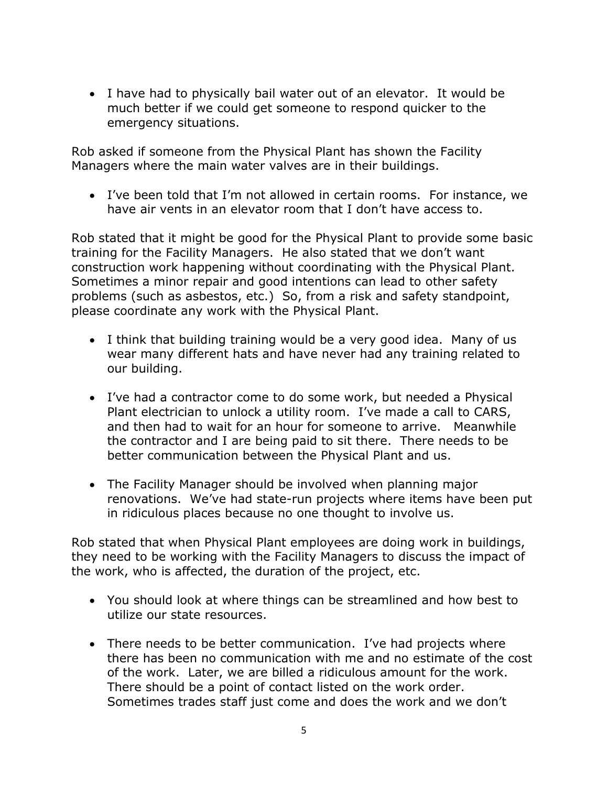I have had to physically bail water out of an elevator. It would be much better if we could get someone to respond quicker to the emergency situations.

Rob asked if someone from the Physical Plant has shown the Facility Managers where the main water valves are in their buildings.

 I've been told that I'm not allowed in certain rooms. For instance, we have air vents in an elevator room that I don't have access to.

Rob stated that it might be good for the Physical Plant to provide some basic training for the Facility Managers. He also stated that we don't want construction work happening without coordinating with the Physical Plant. Sometimes a minor repair and good intentions can lead to other safety problems (such as asbestos, etc.) So, from a risk and safety standpoint, please coordinate any work with the Physical Plant.

- I think that building training would be a very good idea. Many of us wear many different hats and have never had any training related to our building.
- I've had a contractor come to do some work, but needed a Physical Plant electrician to unlock a utility room. I've made a call to CARS, and then had to wait for an hour for someone to arrive. Meanwhile the contractor and I are being paid to sit there. There needs to be better communication between the Physical Plant and us.
- The Facility Manager should be involved when planning major renovations. We've had state-run projects where items have been put in ridiculous places because no one thought to involve us.

Rob stated that when Physical Plant employees are doing work in buildings, they need to be working with the Facility Managers to discuss the impact of the work, who is affected, the duration of the project, etc.

- You should look at where things can be streamlined and how best to utilize our state resources.
- There needs to be better communication. I've had projects where there has been no communication with me and no estimate of the cost of the work. Later, we are billed a ridiculous amount for the work. There should be a point of contact listed on the work order. Sometimes trades staff just come and does the work and we don't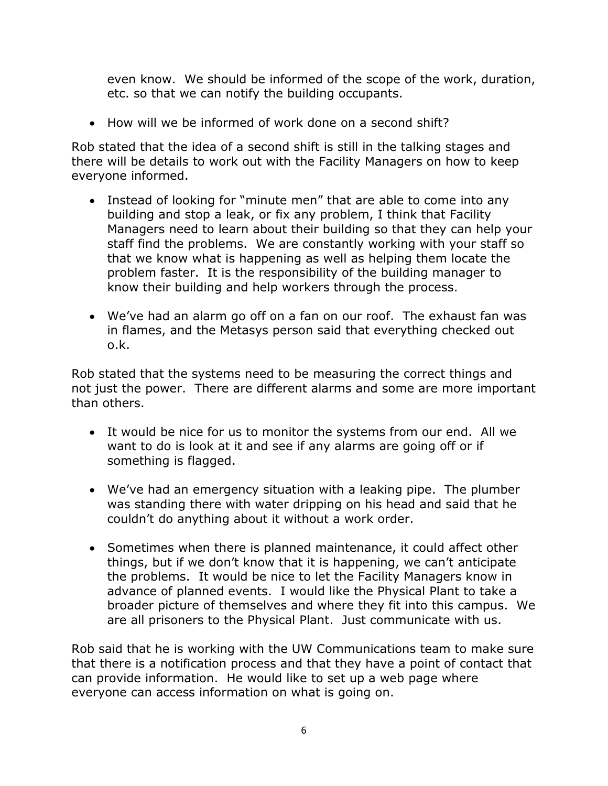even know. We should be informed of the scope of the work, duration, etc. so that we can notify the building occupants.

How will we be informed of work done on a second shift?

Rob stated that the idea of a second shift is still in the talking stages and there will be details to work out with the Facility Managers on how to keep everyone informed.

- Instead of looking for "minute men" that are able to come into any building and stop a leak, or fix any problem, I think that Facility Managers need to learn about their building so that they can help your staff find the problems. We are constantly working with your staff so that we know what is happening as well as helping them locate the problem faster. It is the responsibility of the building manager to know their building and help workers through the process.
- We've had an alarm go off on a fan on our roof. The exhaust fan was in flames, and the Metasys person said that everything checked out o.k.

Rob stated that the systems need to be measuring the correct things and not just the power. There are different alarms and some are more important than others.

- It would be nice for us to monitor the systems from our end. All we want to do is look at it and see if any alarms are going off or if something is flagged.
- We've had an emergency situation with a leaking pipe. The plumber was standing there with water dripping on his head and said that he couldn't do anything about it without a work order.
- Sometimes when there is planned maintenance, it could affect other things, but if we don't know that it is happening, we can't anticipate the problems. It would be nice to let the Facility Managers know in advance of planned events. I would like the Physical Plant to take a broader picture of themselves and where they fit into this campus. We are all prisoners to the Physical Plant. Just communicate with us.

Rob said that he is working with the UW Communications team to make sure that there is a notification process and that they have a point of contact that can provide information. He would like to set up a web page where everyone can access information on what is going on.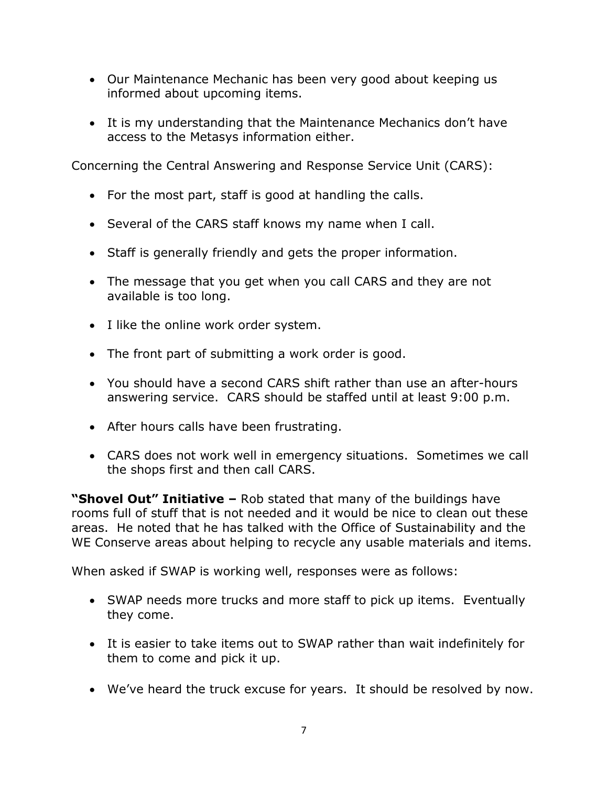- Our Maintenance Mechanic has been very good about keeping us informed about upcoming items.
- It is my understanding that the Maintenance Mechanics don't have access to the Metasys information either.

Concerning the Central Answering and Response Service Unit (CARS):

- For the most part, staff is good at handling the calls.
- Several of the CARS staff knows my name when I call.
- Staff is generally friendly and gets the proper information.
- The message that you get when you call CARS and they are not available is too long.
- I like the online work order system.
- The front part of submitting a work order is good.
- You should have a second CARS shift rather than use an after-hours answering service. CARS should be staffed until at least 9:00 p.m.
- After hours calls have been frustrating.
- CARS does not work well in emergency situations. Sometimes we call the shops first and then call CARS.

**"Shovel Out" Initiative –** Rob stated that many of the buildings have rooms full of stuff that is not needed and it would be nice to clean out these areas. He noted that he has talked with the Office of Sustainability and the WE Conserve areas about helping to recycle any usable materials and items.

When asked if SWAP is working well, responses were as follows:

- SWAP needs more trucks and more staff to pick up items. Eventually they come.
- It is easier to take items out to SWAP rather than wait indefinitely for them to come and pick it up.
- We've heard the truck excuse for years. It should be resolved by now.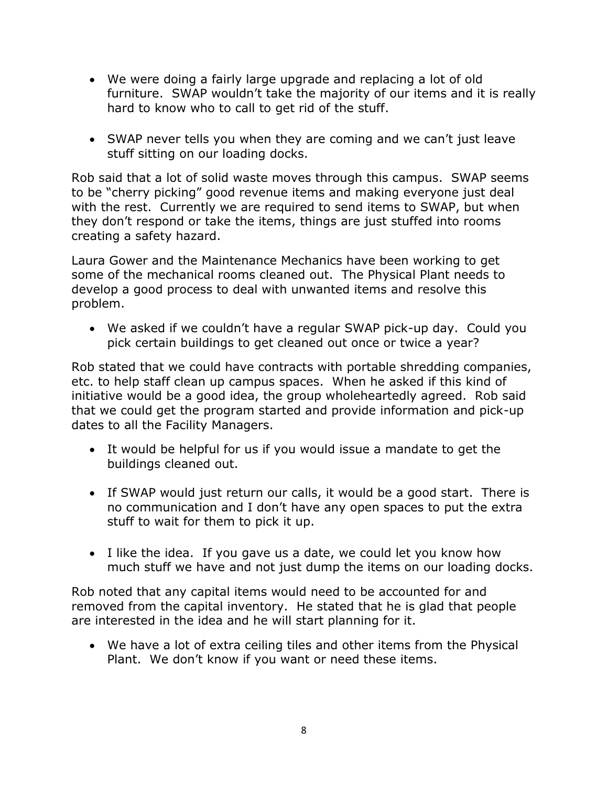- We were doing a fairly large upgrade and replacing a lot of old furniture. SWAP wouldn't take the majority of our items and it is really hard to know who to call to get rid of the stuff.
- SWAP never tells you when they are coming and we can't just leave stuff sitting on our loading docks.

Rob said that a lot of solid waste moves through this campus. SWAP seems to be "cherry picking" good revenue items and making everyone just deal with the rest. Currently we are required to send items to SWAP, but when they don't respond or take the items, things are just stuffed into rooms creating a safety hazard.

Laura Gower and the Maintenance Mechanics have been working to get some of the mechanical rooms cleaned out. The Physical Plant needs to develop a good process to deal with unwanted items and resolve this problem.

 We asked if we couldn't have a regular SWAP pick-up day. Could you pick certain buildings to get cleaned out once or twice a year?

Rob stated that we could have contracts with portable shredding companies, etc. to help staff clean up campus spaces. When he asked if this kind of initiative would be a good idea, the group wholeheartedly agreed. Rob said that we could get the program started and provide information and pick-up dates to all the Facility Managers.

- It would be helpful for us if you would issue a mandate to get the buildings cleaned out.
- If SWAP would just return our calls, it would be a good start. There is no communication and I don't have any open spaces to put the extra stuff to wait for them to pick it up.
- I like the idea. If you gave us a date, we could let you know how much stuff we have and not just dump the items on our loading docks.

Rob noted that any capital items would need to be accounted for and removed from the capital inventory. He stated that he is glad that people are interested in the idea and he will start planning for it.

 We have a lot of extra ceiling tiles and other items from the Physical Plant. We don't know if you want or need these items.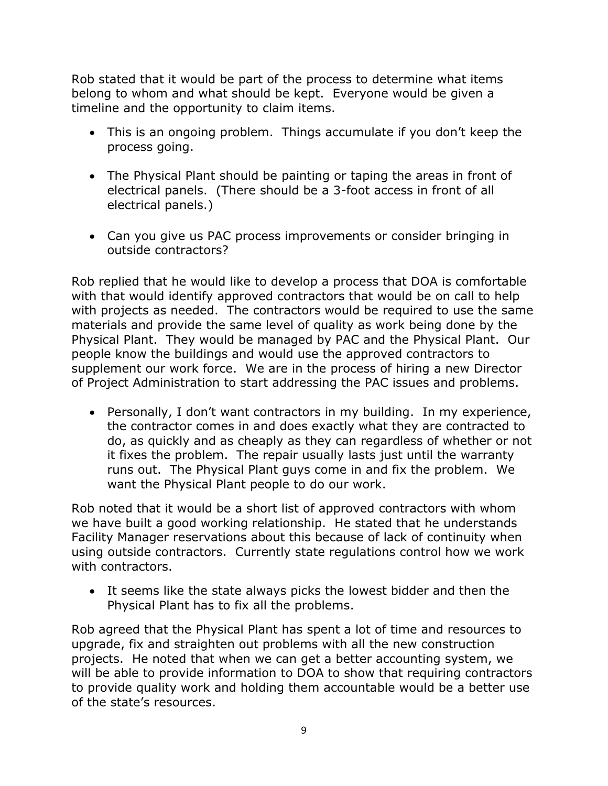Rob stated that it would be part of the process to determine what items belong to whom and what should be kept. Everyone would be given a timeline and the opportunity to claim items.

- This is an ongoing problem. Things accumulate if you don't keep the process going.
- The Physical Plant should be painting or taping the areas in front of electrical panels. (There should be a 3-foot access in front of all electrical panels.)
- Can you give us PAC process improvements or consider bringing in outside contractors?

Rob replied that he would like to develop a process that DOA is comfortable with that would identify approved contractors that would be on call to help with projects as needed. The contractors would be required to use the same materials and provide the same level of quality as work being done by the Physical Plant. They would be managed by PAC and the Physical Plant. Our people know the buildings and would use the approved contractors to supplement our work force. We are in the process of hiring a new Director of Project Administration to start addressing the PAC issues and problems.

 Personally, I don't want contractors in my building. In my experience, the contractor comes in and does exactly what they are contracted to do, as quickly and as cheaply as they can regardless of whether or not it fixes the problem. The repair usually lasts just until the warranty runs out. The Physical Plant guys come in and fix the problem. We want the Physical Plant people to do our work.

Rob noted that it would be a short list of approved contractors with whom we have built a good working relationship. He stated that he understands Facility Manager reservations about this because of lack of continuity when using outside contractors. Currently state regulations control how we work with contractors.

 It seems like the state always picks the lowest bidder and then the Physical Plant has to fix all the problems.

Rob agreed that the Physical Plant has spent a lot of time and resources to upgrade, fix and straighten out problems with all the new construction projects. He noted that when we can get a better accounting system, we will be able to provide information to DOA to show that requiring contractors to provide quality work and holding them accountable would be a better use of the state's resources.